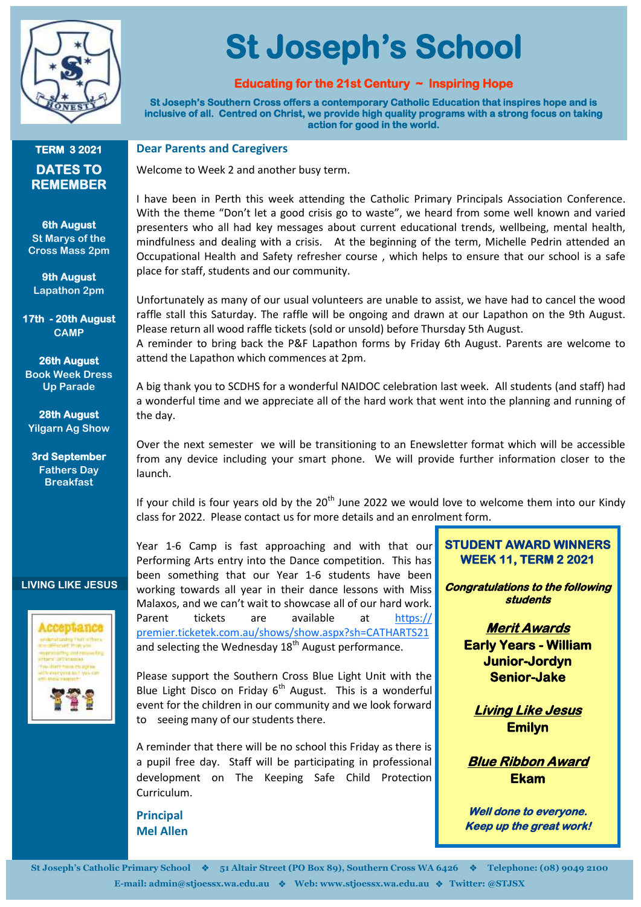

# **St Joseph's School**

# **Educating for the 21st Century ~ Inspiring Hope**

**St Joseph's Southern Cross offers a contemporary Catholic Education that inspires hope and is inclusive of all. Centred on Christ, we provide high quality programs with a strong focus on taking action for good in the world.** 

#### **TERM 3 2021 DATES TO REMEMBER**

#### **6th August St Marys of the Cross Mass 2pm**

**9th August Lapathon 2pm**

**17th - 20th August CAMP**

**26th August Book Week Dress Up Parade**

**28th August Yilgarn Ag Show**

**3rd September Fathers Day Breakfast**

### **LIVING LIKE JESUS**



**Dear Parents and Caregivers**

Welcome to Week 2 and another busy term.

I have been in Perth this week attending the Catholic Primary Principals Association Conference. With the theme "Don't let a good crisis go to waste", we heard from some well known and varied presenters who all had key messages about current educational trends, wellbeing, mental health, mindfulness and dealing with a crisis. At the beginning of the term, Michelle Pedrin attended an Occupational Health and Safety refresher course , which helps to ensure that our school is a safe place for staff, students and our community.

Unfortunately as many of our usual volunteers are unable to assist, we have had to cancel the wood raffle stall this Saturday. The raffle will be ongoing and drawn at our Lapathon on the 9th August. Please return all wood raffle tickets (sold or unsold) before Thursday 5th August.

A reminder to bring back the P&F Lapathon forms by Friday 6th August. Parents are welcome to attend the Lapathon which commences at 2pm.

A big thank you to SCDHS for a wonderful NAIDOC celebration last week. All students (and staff) had a wonderful time and we appreciate all of the hard work that went into the planning and running of the day.

Over the next semester we will be transitioning to an Enewsletter format which will be accessible from any device including your smart phone. We will provide further information closer to the launch.

If your child is four years old by the  $20^{th}$  June 2022 we would love to welcome them into our Kindy class for 2022. Please contact us for more details and an enrolment form.

Year 1-6 Camp is fast approaching and with that our Performing Arts entry into the Dance competition. This has been something that our Year 1-6 students have been working towards all year in their dance lessons with Miss Malaxos, and we can't wait to showcase all of our hard work. Parent tickets are available at [https://](https://premier.ticketek.com.au/shows/show.aspx?sh=CATHARTS21) [premier.ticketek.com.au/shows/show.aspx?sh=CATHARTS21](https://premier.ticketek.com.au/shows/show.aspx?sh=CATHARTS21)  and selecting the Wednesday  $18<sup>th</sup>$  August performance.

Please support the Southern Cross Blue Light Unit with the Blue Light Disco on Friday  $6<sup>th</sup>$  August. This is a wonderful event for the children in our community and we look forward to seeing many of our students there.

A reminder that there will be no school this Friday as there is a pupil free day. Staff will be participating in professional development on The Keeping Safe Child Protection Curriculum.

**Principal Mel Allen**

#### **STUDENT AWARD WINNERS WEEK 11, TERM 2 2021**

**Congratulations to the following students** 

> **Merit Awards Early Years - William Junior-Jordyn Senior-Jake**

**Living Like Jesus Emilyn** 

**Blue Ribbon Award Ekam** 

**Well done to everyone. Keep up the great work!**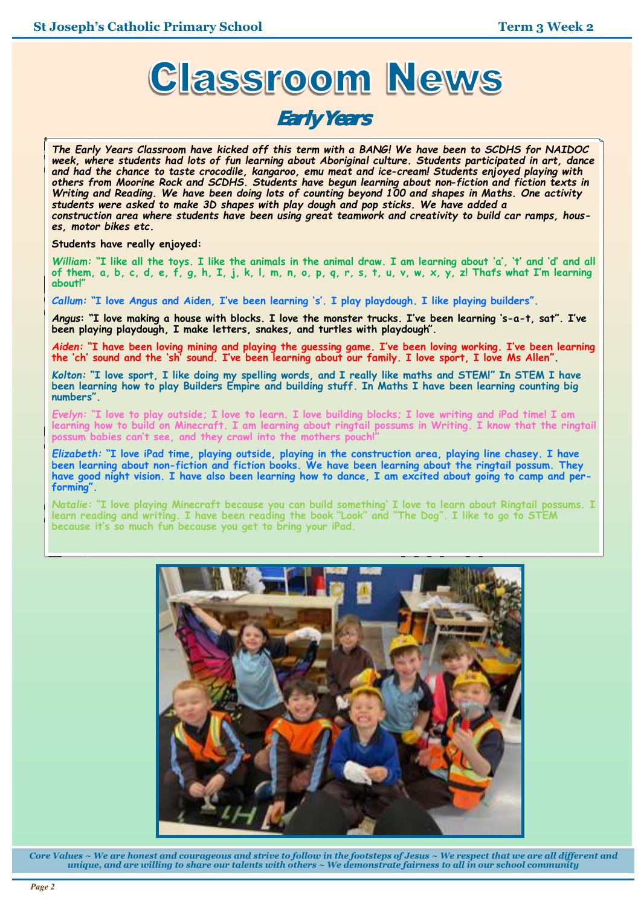

# **Early Years**

*The Early Years Classroom have kicked off this term with a BANG! We have been to SCDHS for NAIDOC week, where students had lots of fun learning about Aboriginal culture. Students participated in art, dance and had the chance to taste crocodile, kangaroo, emu meat and ice-cream! Students enjoyed playing with others from Moorine Rock and SCDHS. Students have begun learning about non-fiction and fiction texts in Writing and Reading. We have been doing lots of counting beyond 100 and shapes in Maths. One activity students were asked to make 3D shapes with play dough and pop sticks. We have added a construction area where students have been using great teamwork and creativity to build car ramps, houses, motor bikes etc.* 

**Students have really enjoyed:** 

*William:* **"I like all the toys. I like the animals in the animal draw. I am learning about 'a', 't' and 'd' and all of them, a, b, c, d, e, f, g, h, I, j, k, l, m, n, o, p, q, r, s, t, u, v, w, x, y, z! That's what I'm learning about!"**

*Callum:* **"I love Angus and Aiden, I've been learning 's'. I play playdough. I like playing builders".** 

*Angus***: "I love making a house with blocks. I love the monster trucks. I've been learning 's-a-t, sat". I've been playing playdough, I make letters, snakes, and turtles with playdough".** 

*Aiden:* **"I have been loving mining and playing the guessing game. I've been loving working. I've been learning the 'ch' sound and the 'sh' sound. I've been learning about our family. I love sport, I love Ms Allen".** 

*Kolton:* **"I love sport, I like doing my spelling words, and I really like maths and STEM!" In STEM I have been learning how to play Builders Empire and building stuff. In Maths I have been learning counting big numbers".** 

*Evelyn:* **"I love to play outside; I love to learn. I love building blocks; I love writing and iPad time! I am learning how to build on Minecraft. I am learning about ringtail possums in Writing. I know that the ringtail possum babies can't see, and they crawl into the mothers pouch!"** 

*Elizabeth:* **"I love iPad time, playing outside, playing in the construction area, playing line chasey. I have been learning about non-fiction and fiction books. We have been learning about the ringtail possum. They have good night vision. I have also been learning how to dance, I am excited about going to camp and performing".** 

*Natalie:* **"I love playing Minecraft because you can build something' I love to learn about Ringtail possums. I learn reading and writing. I have been reading the book "Look" and "The Dog". I like to go to STEM because it's so much fun because you get to bring your iPad.** 



*Core Values ~ We are honest and courageous and strive to follow in the footsteps of Jesus ~ We respect that we are all different and unique, and are willing to share our talents with others ~ We demonstrate fairness to all in our school community*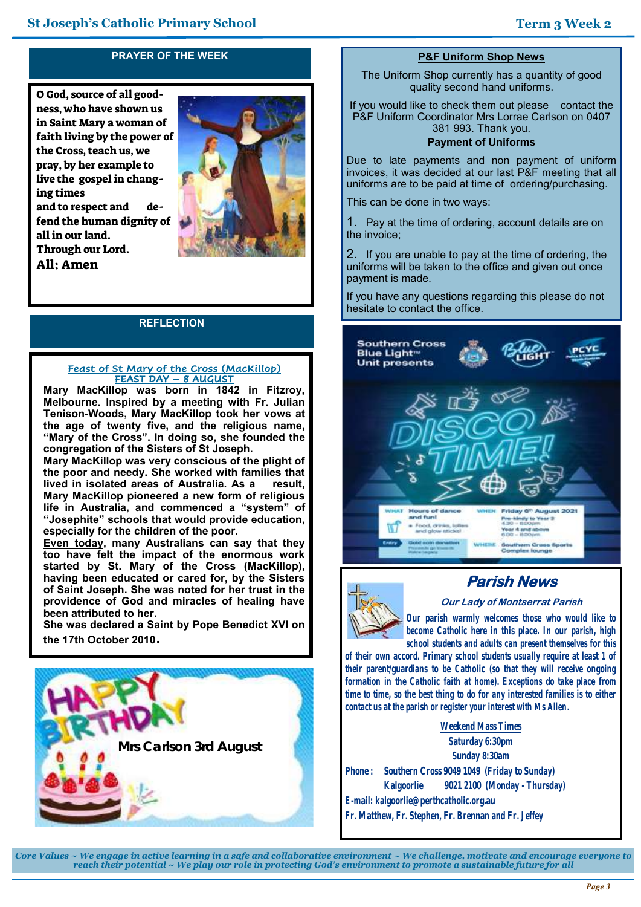# **PRAYER OF THE WEEK**

O God, source of all goodness, who have shown us in Saint Mary a woman of faith living by the power of the Cross, teach us, we pray, by her example to live the gospel in changing times and to respect and defend the human dignity of all in our land. Through our Lord. All: Amen



#### **REFLECTION**

#### **Feast of St Mary of the Cross (MacKillop) FEAST DAY – 8 AUGUST**

**Mary MacKillop was born in 1842 in Fitzroy, Melbourne. Inspired by a meeting with Fr. Julian Tenison-Woods, Mary MacKillop took her vows at the age of twenty five, and the religious name, "Mary of the Cross". In doing so, she founded the congregation of the Sisters of St Joseph.** 

**Mary MacKillop was very conscious of the plight of the poor and needy. She worked with families that**  lived in isolated areas of Australia. As a **Mary MacKillop pioneered a new form of religious life in Australia, and commenced a "system" of "Josephite" schools that would provide education, especially for the children of the poor.** 

**Even today, many Australians can say that they too have felt the impact of the enormous work started by St. Mary of the Cross (MacKillop), having been educated or cared for, by the Sisters of Saint Joseph. She was noted for her trust in the providence of God and miracles of healing have been attributed to her.** 

**She was declared a Saint by Pope Benedict XVI on the 17th October 2010.**



#### **P&F Uniform Shop News**

The Uniform Shop currently has a quantity of good quality second hand uniforms.

If you would like to check them out please contact the P&F Uniform Coordinator Mrs Lorrae Carlson on 0407 381 993. Thank you.

#### **Payment of Uniforms**

Due to late payments and non payment of uniform invoices, it was decided at our last P&F meeting that all uniforms are to be paid at time of ordering/purchasing.

This can be done in two ways:

1. Pay at the time of ordering, account details are on the invoice;

2. If you are unable to pay at the time of ordering, the uniforms will be taken to the office and given out once payment is made.

If you have any questions regarding this please do not hesitate to contact the office.



# **Parish News**



**Our Lady of Montserrat Parish** *Our parish warmly welcomes those who would like to* 

*become Catholic here in this place. In our parish, high school students and adults can present themselves for this of their own accord. Primary school students usually require at least 1 of* 

*their parent/guardians to be Catholic (so that they will receive ongoing formation in the Catholic faith at home). Exceptions do take place from time to time, so the best thing to do for any interested families is to either contact us at the parish or register your interest with Ms Allen.*

**Weekend Mass Times Saturday 6:30pm Sunday 8:30am Phone : Southern Cross 9049 1049 (Friday to Sunday) Kalgoorlie 9021 2100 (Monday - Thursday) E-mail: kalgoorlie@perthcatholic.org.au Fr. Matthew, Fr. Stephen, Fr. Brennan and Fr. Jeffey**

*Core Values ~ We engage in active learning in a safe and collaborative environment ~ We challenge, motivate and encourage everyone to reach their potential ~ We play our role in protecting God's environment to promote a sustainable future for all*